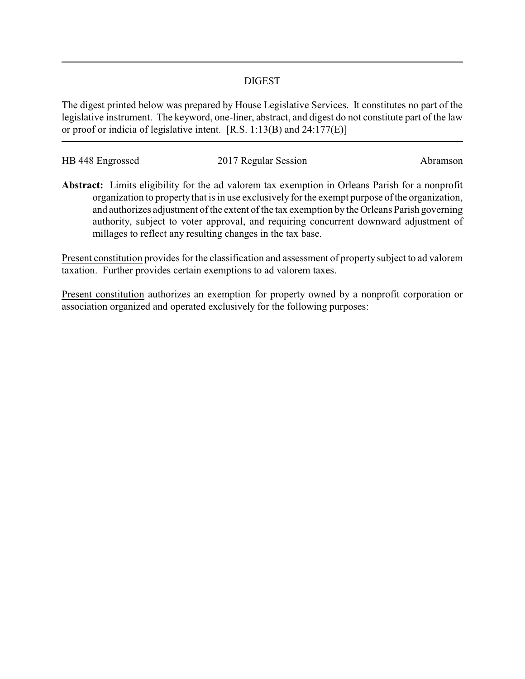## DIGEST

The digest printed below was prepared by House Legislative Services. It constitutes no part of the legislative instrument. The keyword, one-liner, abstract, and digest do not constitute part of the law or proof or indicia of legislative intent. [R.S. 1:13(B) and 24:177(E)]

| HB 448 Engrossed | 2017 Regular Session | Abramson |
|------------------|----------------------|----------|

**Abstract:** Limits eligibility for the ad valorem tax exemption in Orleans Parish for a nonprofit organization to property that is in use exclusively for the exempt purpose of the organization, and authorizes adjustment of the extent of the tax exemption by the Orleans Parish governing authority, subject to voter approval, and requiring concurrent downward adjustment of millages to reflect any resulting changes in the tax base.

Present constitution provides for the classification and assessment of property subject to ad valorem taxation. Further provides certain exemptions to ad valorem taxes.

Present constitution authorizes an exemption for property owned by a nonprofit corporation or association organized and operated exclusively for the following purposes: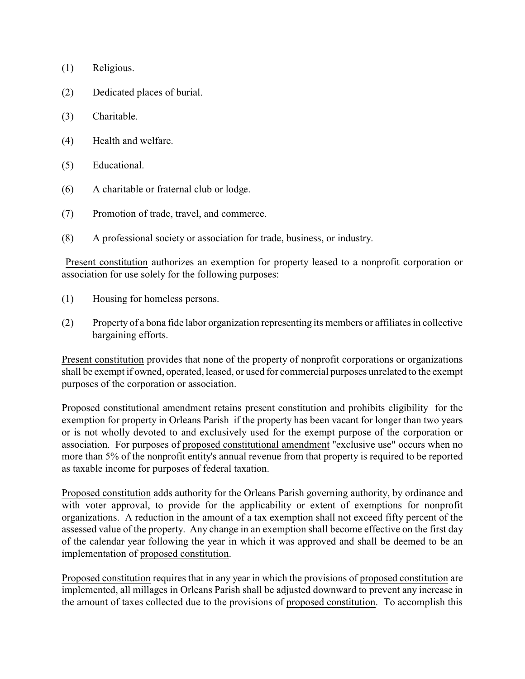- (1) Religious.
- (2) Dedicated places of burial.
- (3) Charitable.
- (4) Health and welfare.
- (5) Educational.
- (6) A charitable or fraternal club or lodge.
- (7) Promotion of trade, travel, and commerce.
- (8) A professional society or association for trade, business, or industry.

Present constitution authorizes an exemption for property leased to a nonprofit corporation or association for use solely for the following purposes:

- (1) Housing for homeless persons.
- (2) Property of a bona fide labor organization representing its members or affiliates in collective bargaining efforts.

Present constitution provides that none of the property of nonprofit corporations or organizations shall be exempt if owned, operated, leased, or used for commercial purposes unrelated to the exempt purposes of the corporation or association.

Proposed constitutional amendment retains present constitution and prohibits eligibility for the exemption for property in Orleans Parish if the property has been vacant for longer than two years or is not wholly devoted to and exclusively used for the exempt purpose of the corporation or association. For purposes of proposed constitutional amendment "exclusive use" occurs when no more than 5% of the nonprofit entity's annual revenue from that property is required to be reported as taxable income for purposes of federal taxation.

Proposed constitution adds authority for the Orleans Parish governing authority, by ordinance and with voter approval, to provide for the applicability or extent of exemptions for nonprofit organizations. A reduction in the amount of a tax exemption shall not exceed fifty percent of the assessed value of the property. Any change in an exemption shall become effective on the first day of the calendar year following the year in which it was approved and shall be deemed to be an implementation of proposed constitution.

Proposed constitution requires that in any year in which the provisions of proposed constitution are implemented, all millages in Orleans Parish shall be adjusted downward to prevent any increase in the amount of taxes collected due to the provisions of proposed constitution. To accomplish this